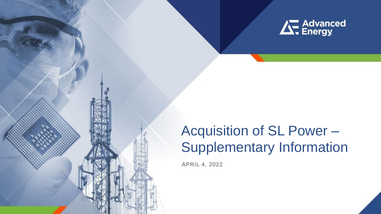

**1**

# Acquisition of SL Power – Supplementary Information

APRIL 4, 2022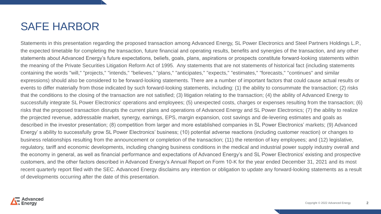### SAFE HARBOR

Statements in this presentation regarding the proposed transaction among Advanced Energy, SL Power Electronics and Steel Partners Holdings L.P., the expected timetable for completing the transaction, future financial and operating results, benefits and synergies of the transaction, and any other statements about Advanced Energy's future expectations, beliefs, goals, plans, aspirations or prospects constitute forward-looking statements within the meaning of the Private Securities Litigation Reform Act of 1995. Any statements that are not statements of historical fact (including statements containing the words "will," "projects," "intends," "believes," "plans," "anticipates," "expects," "estimates," "forecasts," "continues" and similar expressions) should also be considered to be forward-looking statements. There are a number of important factors that could cause actual results or events to differ materially from those indicated by such forward-looking statements, including: (1) the ability to consummate the transaction; (2) risks that the conditions to the closing of the transaction are not satisfied; (3) litigation relating to the transaction; (4) the ability of Advanced Energy to successfully integrate SL Power Electronics' operations and employees; (5) unexpected costs, charges or expenses resulting from the transaction; (6) risks that the proposed transaction disrupts the current plans and operations of Advanced Energy and SL Power Electronics; (7) the ability to realize the projected revenue, addressable market, synergy, earnings, EPS, margin expansion, cost savings and de-levering estimates and goals as described in the investor presentation; (8) competition from larger and more established companies in SL Power Electronics' markets; (9) Advanced Energy' s ability to successfully grow SL Power Electronics' business; (10) potential adverse reactions (including customer reaction) or changes to business relationships resulting from the announcement or completion of the transaction; (11) the retention of key employees; and (12) legislative, regulatory, tariff and economic developments, including changing business conditions in the medical and industrial power supply industry overall and the economy in general, as well as financial performance and expectations of Advanced Energy's and SL Power Electronics' existing and prospective customers, and the other factors described in Advanced Energy's Annual Report on Form 10-K for the year ended December 31, 2021 and its most recent quarterly report filed with the SEC. Advanced Energy disclaims any intention or obligation to update any forward-looking statements as a result of developments occurring after the date of this presentation.

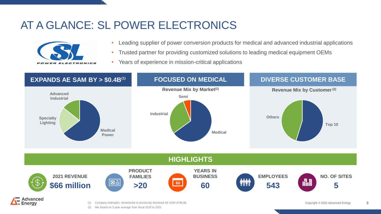# AT A GLANCE: SL POWER ELECTRONICS



- Leading supplier of power conversion products for medical and advanced industrial applications
- Trusted partner for providing customized solutions to leading medical equipment OEMs
- Years of experience in mission-critical applications



(2) Mix based on 3-year average from fiscal 2019 to 2021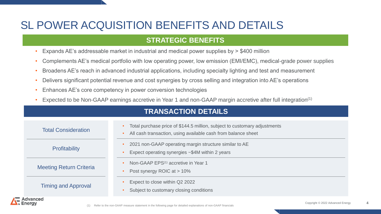# SL POWER ACQUISITION BENEFITS AND DETAILS

#### **STRATEGIC BENEFITS**

- Expands AE's addressable market in industrial and medical power supplies by > \$400 million
- Complements AE's medical portfolio with low operating power, low emission (EMI/EMC), medical-grade power supplies
- Broadens AE's reach in advanced industrial applications, including specialty lighting and test and measurement
- Delivers significant potential revenue and cost synergies by cross selling and integration into AE's operations
- Enhances AE's core competency in power conversion technologies
- Expected to be Non-GAAP earnings accretive in Year 1 and non-GAAP margin accretive after full integration(1)

| <b>TRANSACTION DETAILS</b>     |                                                                                                                                            |
|--------------------------------|--------------------------------------------------------------------------------------------------------------------------------------------|
| <b>Total Consideration</b>     | Total purchase price of \$144.5 million, subject to customary adjustments<br>All cash transaction, using available cash from balance sheet |
| Profitability                  | 2021 non-GAAP operating margin structure similar to AE<br>Expect operating synergies ~\$4M within 2 years                                  |
| <b>Meeting Return Criteria</b> | Non-GAAP EPS <sup>(1)</sup> accretive in Year 1<br>Post synergy ROIC at > 10%                                                              |
| <b>Timing and Approval</b>     | Expect to close within Q2 2022<br>Subject to customary closing conditions                                                                  |
| Advanced                       |                                                                                                                                            |

**4**